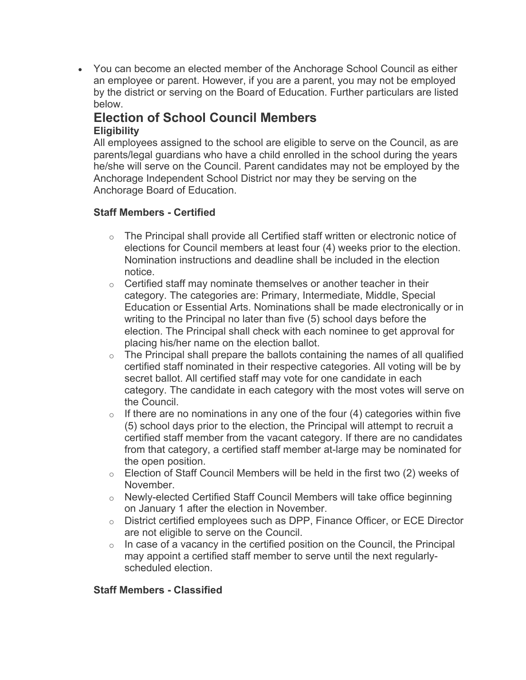• You can become an elected member of the Anchorage School Council as either an employee or parent. However, if you are a parent, you may not be employed by the district or serving on the Board of Education. Further particulars are listed below.

## **Election of School Council Members Eligibility**

All employees assigned to the school are eligible to serve on the Council, as are parents/legal guardians who have a child enrolled in the school during the years he/she will serve on the Council. Parent candidates may not be employed by the Anchorage Independent School District nor may they be serving on the Anchorage Board of Education.

## **Staff Members - Certified**

- o The Principal shall provide all Certified staff written or electronic notice of elections for Council members at least four (4) weeks prior to the election. Nomination instructions and deadline shall be included in the election notice.
- o Certified staff may nominate themselves or another teacher in their category. The categories are: Primary, Intermediate, Middle, Special Education or Essential Arts. Nominations shall be made electronically or in writing to the Principal no later than five (5) school days before the election. The Principal shall check with each nominee to get approval for placing his/her name on the election ballot.
- $\circ$  The Principal shall prepare the ballots containing the names of all qualified certified staff nominated in their respective categories. All voting will be by secret ballot. All certified staff may vote for one candidate in each category. The candidate in each category with the most votes will serve on the Council.
- $\circ$  If there are no nominations in any one of the four (4) categories within five (5) school days prior to the election, the Principal will attempt to recruit a certified staff member from the vacant category. If there are no candidates from that category, a certified staff member at-large may be nominated for the open position.
- o Election of Staff Council Members will be held in the first two (2) weeks of November.
- o Newly-elected Certified Staff Council Members will take office beginning on January 1 after the election in November.
- o District certified employees such as DPP, Finance Officer, or ECE Director are not eligible to serve on the Council.
- $\circ$  In case of a vacancy in the certified position on the Council, the Principal may appoint a certified staff member to serve until the next regularlyscheduled election.

## **Staff Members - Classified**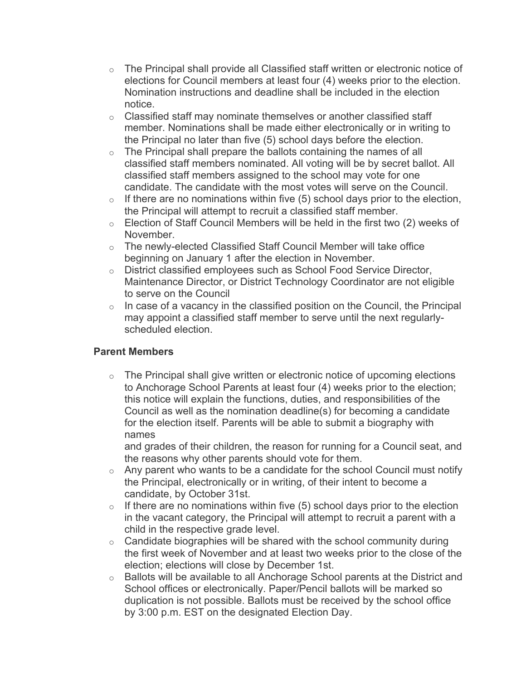- $\circ$  The Principal shall provide all Classified staff written or electronic notice of elections for Council members at least four (4) weeks prior to the election. Nomination instructions and deadline shall be included in the election notice.
- $\circ$  Classified staff may nominate themselves or another classified staff member. Nominations shall be made either electronically or in writing to the Principal no later than five (5) school days before the election.
- o The Principal shall prepare the ballots containing the names of all classified staff members nominated. All voting will be by secret ballot. All classified staff members assigned to the school may vote for one candidate. The candidate with the most votes will serve on the Council.
- $\circ$  If there are no nominations within five (5) school days prior to the election, the Principal will attempt to recruit a classified staff member.
- o Election of Staff Council Members will be held in the first two (2) weeks of November.
- o The newly-elected Classified Staff Council Member will take office beginning on January 1 after the election in November.
- o District classified employees such as School Food Service Director, Maintenance Director, or District Technology Coordinator are not eligible to serve on the Council
- $\circ$  In case of a vacancy in the classified position on the Council, the Principal may appoint a classified staff member to serve until the next regularlyscheduled election.

## **Parent Members**

 $\circ$  The Principal shall give written or electronic notice of upcoming elections to Anchorage School Parents at least four (4) weeks prior to the election; this notice will explain the functions, duties, and responsibilities of the Council as well as the nomination deadline(s) for becoming a candidate for the election itself. Parents will be able to submit a biography with names

and grades of their children, the reason for running for a Council seat, and the reasons why other parents should vote for them.

- $\circ$  Any parent who wants to be a candidate for the school Council must notify the Principal, electronically or in writing, of their intent to become a candidate, by October 31st.
- $\circ$  If there are no nominations within five (5) school days prior to the election in the vacant category, the Principal will attempt to recruit a parent with a child in the respective grade level.
- $\circ$  Candidate biographies will be shared with the school community during the first week of November and at least two weeks prior to the close of the election; elections will close by December 1st.
- o Ballots will be available to all Anchorage School parents at the District and School offices or electronically. Paper/Pencil ballots will be marked so duplication is not possible. Ballots must be received by the school office by 3:00 p.m. EST on the designated Election Day.